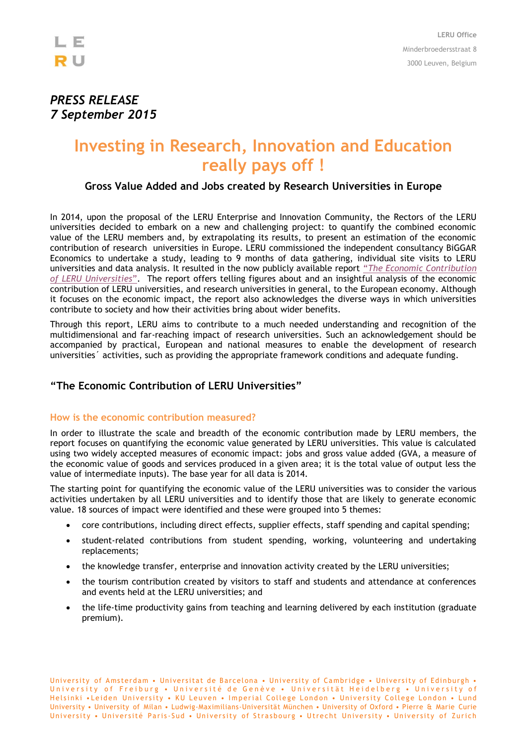

## *PRESS RELEASE 7 September 2015*

# **Investing in Research, Innovation and Education really pays off !**

### **Gross Value Added and Jobs created by Research Universities in Europe**

In 2014, upon the proposal of the LERU Enterprise and Innovation Community, the Rectors of the LERU universities decided to embark on a new and challenging project: to quantify the combined economic value of the LERU members and, by extrapolating its results, to present an estimation of the economic contribution of research universities in Europe. LERU commissioned the independent consultancy BiGGAR Economics to undertake a study, leading to 9 months of data gathering, individual site visits to LERU universities and data analysis. It resulted in the now publicly available report "*[The Economic Contribution](http://www.leru.org/files/publications/LERU_Economic_Contribution_-_Report.pdf)  [of LERU Universities](http://www.leru.org/files/publications/LERU_Economic_Contribution_-_Report.pdf)*". The report offers telling figures about and an insightful analysis of the economic contribution of LERU universities, and research universities in general, to the European economy. Although it focuses on the economic impact, the report also acknowledges the diverse ways in which universities contribute to society and how their activities bring about wider benefits.

Through this report, LERU aims to contribute to a much needed understanding and recognition of the multidimensional and far-reaching impact of research universities. Such an acknowledgement should be accompanied by practical, European and national measures to enable the development of research universities´ activities, such as providing the appropriate framework conditions and adequate funding.

## **"The Economic Contribution of LERU Universities"**

#### **How is the economic contribution measured?**

In order to illustrate the scale and breadth of the economic contribution made by LERU members, the report focuses on quantifying the economic value generated by LERU universities. This value is calculated using two widely accepted measures of economic impact: jobs and gross value added (GVA, a measure of the economic value of goods and services produced in a given area; it is the total value of output less the value of intermediate inputs). The base year for all data is 2014.

The starting point for quantifying the economic value of the LERU universities was to consider the various activities undertaken by all LERU universities and to identify those that are likely to generate economic value. 18 sources of impact were identified and these were grouped into 5 themes:

- core contributions, including direct effects, supplier effects, staff spending and capital spending;
- student-related contributions from student spending, working, volunteering and undertaking replacements;
- the knowledge transfer, enterprise and innovation activity created by the LERU universities;
- the tourism contribution created by visitors to staff and students and attendance at conferences and events held at the LERU universities; and
- the life-time productivity gains from teaching and learning delivered by each institution (graduate premium).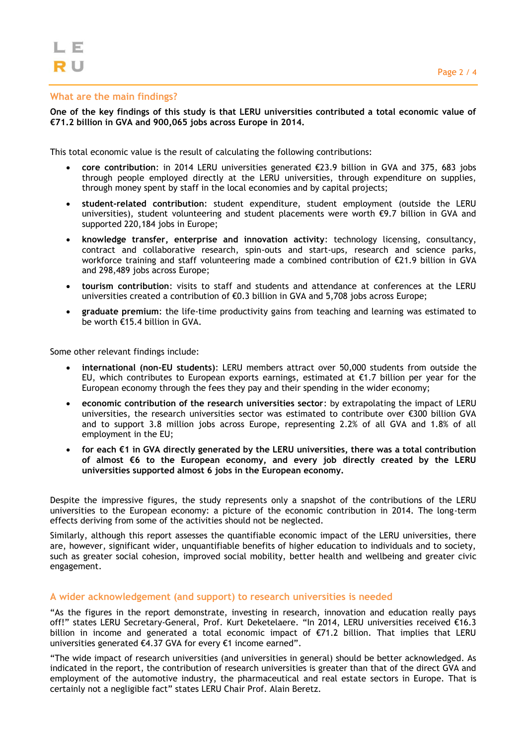#### **What are the main findings?**

**One of the key findings of this study is that LERU universities contributed a total economic value of €71.2 billion in GVA and 900,065 jobs across Europe in 2014.**

This total economic value is the result of calculating the following contributions:

- **core contribution**: in 2014 LERU universities generated €23.9 billion in GVA and 375, 683 jobs through people employed directly at the LERU universities, through expenditure on supplies, through money spent by staff in the local economies and by capital projects;
- **student-related contribution**: student expenditure, student employment (outside the LERU universities), student volunteering and student placements were worth €9.7 billion in GVA and supported 220,184 jobs in Europe;
- **knowledge transfer, enterprise and innovation activity**: technology licensing, consultancy, contract and collaborative research, spin-outs and start-ups, research and science parks, workforce training and staff volunteering made a combined contribution of €21.9 billion in GVA and 298,489 jobs across Europe;
- **tourism contribution**: visits to staff and students and attendance at conferences at the LERU universities created a contribution of €0.3 billion in GVA and 5,708 jobs across Europe;
- **graduate premium**: the life-time productivity gains from teaching and learning was estimated to be worth €15.4 billion in GVA.

Some other relevant findings include:

- **international (non-EU students)**: LERU members attract over 50,000 students from outside the EU, which contributes to European exports earnings, estimated at  $\epsilon$ 1.7 billion per year for the European economy through the fees they pay and their spending in the wider economy;
- **economic contribution of the research universities sector**: by extrapolating the impact of LERU universities, the research universities sector was estimated to contribute over €300 billion GVA and to support 3.8 million jobs across Europe, representing 2.2% of all GVA and 1.8% of all employment in the EU;
- **for each €1 in GVA directly generated by the LERU universities, there was a total contribution of almost €6 to the European economy, and every job directly created by the LERU universities supported almost 6 jobs in the European economy.**

Despite the impressive figures, the study represents only a snapshot of the contributions of the LERU universities to the European economy: a picture of the economic contribution in 2014. The long-term effects deriving from some of the activities should not be neglected.

Similarly, although this report assesses the quantifiable economic impact of the LERU universities, there are, however, significant wider, unquantifiable benefits of higher education to individuals and to society, such as greater social cohesion, improved social mobility, better health and wellbeing and greater civic engagement.

#### **A wider acknowledgement (and support) to research universities is needed**

"As the figures in the report demonstrate, investing in research, innovation and education really pays off!" states LERU Secretary-General, Prof. Kurt Deketelaere. "In 2014, LERU universities received €16.3 billion in income and generated a total economic impact of €71.2 billion. That implies that LERU universities generated €4.37 GVA for every €1 income earned".

"The wide impact of research universities (and universities in general) should be better acknowledged. As indicated in the report, the contribution of research universities is greater than that of the direct GVA and employment of the automotive industry, the pharmaceutical and real estate sectors in Europe. That is certainly not a negligible fact" states LERU Chair Prof. Alain Beretz.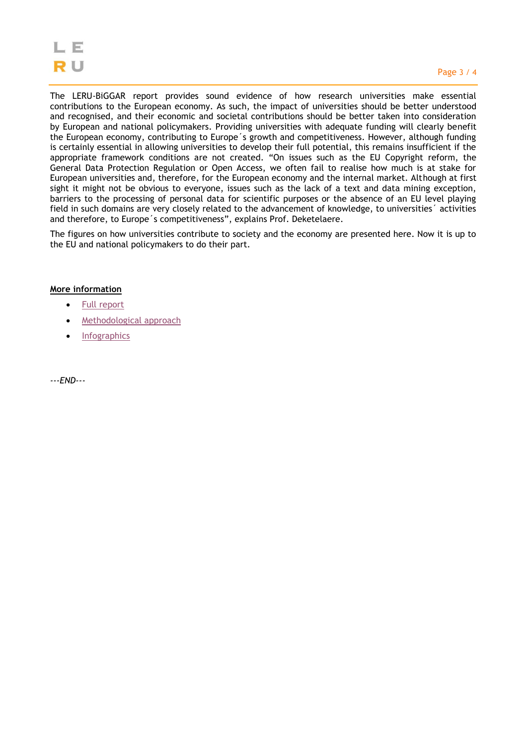The LERU-BiGGAR report provides sound evidence of how research universities make essential contributions to the European economy. As such, the impact of universities should be better understood and recognised, and their economic and societal contributions should be better taken into consideration by European and national policymakers. Providing universities with adequate funding will clearly benefit the European economy, contributing to Europe´s growth and competitiveness. However, although funding is certainly essential in allowing universities to develop their full potential, this remains insufficient if the appropriate framework conditions are not created. "On issues such as the EU Copyright reform, the General Data Protection Regulation or Open Access, we often fail to realise how much is at stake for European universities and, therefore, for the European economy and the internal market. Although at first sight it might not be obvious to everyone, issues such as the lack of a text and data mining exception, barriers to the processing of personal data for scientific purposes or the absence of an EU level playing field in such domains are very closely related to the advancement of knowledge, to universities´ activities and therefore, to Europe´s competitiveness", explains Prof. Deketelaere.

The figures on how universities contribute to society and the economy are presented here. Now it is up to the EU and national policymakers to do their part.

#### **More information**

- [Full report](http://www.leru.org/files/publications/LERU_Economic_Contribution_-_Report.pdf)
- [Methodological approach](http://www.leru.org/files/general/LERU%20Economic%20Contribution%20-%20Methodological%20Appendix.pdf)
- [Infographics](http://www.leru.org/files/general/LERU%20Economic%20Contribution%20-%20Infographics.pdf)

*---END---*